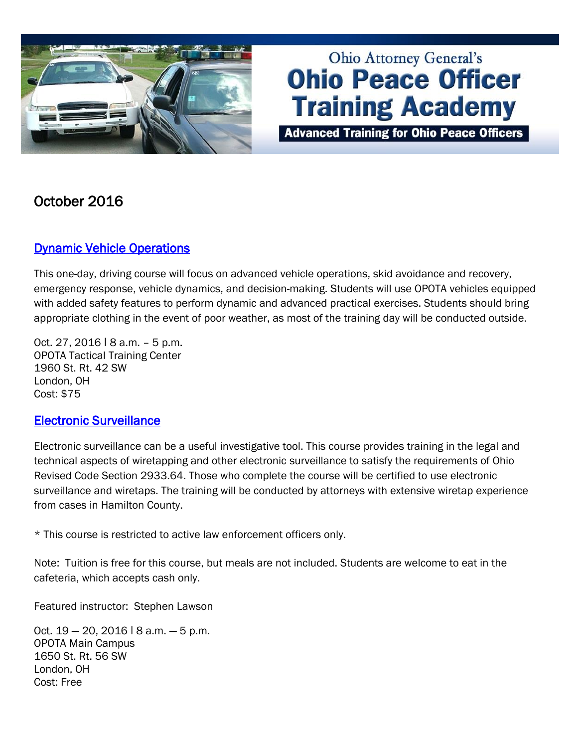

# **Ohio Attorney General's Ohio Peace Officer Training Academy**

**Advanced Training for Ohio Peace Officers** 

## October 2016

#### [Dynamic Vehicle Operations](http://www.ohioattorneygeneral.gov/Law-Enforcement/Ohio-Peace-Officer-Training-Academy/Course-Catalog/Course-Categories/Driving-Courses)

This one-day, driving course will focus on advanced vehicle operations, skid avoidance and recovery, emergency response, vehicle dynamics, and decision-making. Students will use OPOTA vehicles equipped with added safety features to perform dynamic and advanced practical exercises. Students should bring appropriate clothing in the event of poor weather, as most of the training day will be conducted outside.

Oct. 27, 2016 ǀ 8 a.m. – 5 p.m. OPOTA Tactical Training Center 1960 St. Rt. 42 SW London, OH Cost: \$75

#### [Electronic Surveillance](http://www.ohioattorneygeneral.gov/Law-Enforcement/Ohio-Peace-Officer-Training-Academy/Course-Catalog/Course-Search?searchtext=electronic&searchmode=anyword)

Electronic surveillance can be a useful investigative tool. This course provides training in the legal and technical aspects of wiretapping and other electronic surveillance to satisfy the requirements of Ohio Revised Code Section 2933.64. Those who complete the course will be certified to use electronic surveillance and wiretaps. The training will be conducted by attorneys with extensive wiretap experience from cases in Hamilton County.

\* This course is restricted to active law enforcement officers only.

Note: Tuition is free for this course, but meals are not included. Students are welcome to eat in the cafeteria, which accepts cash only.

Featured instructor: Stephen Lawson

Oct.  $19 - 20$ ,  $2016$   $\mid$  8 a.m.  $-5$  p.m. OPOTA Main Campus 1650 St. Rt. 56 SW London, OH Cost: Free